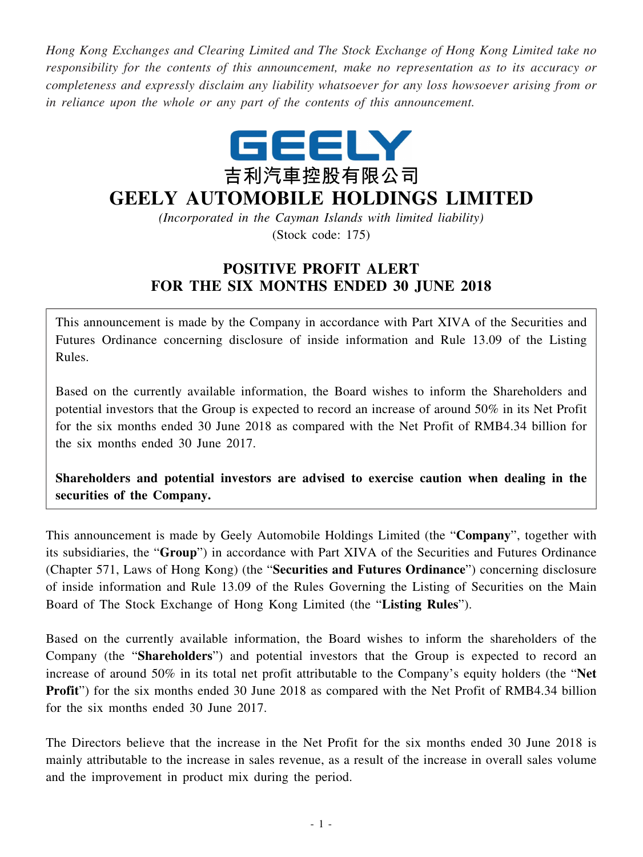*Hong Kong Exchanges and Clearing Limited and The Stock Exchange of Hong Kong Limited take no responsibility for the contents of this announcement, make no representation as to its accuracy or completeness and expressly disclaim any liability whatsoever for any loss howsoever arising from or in reliance upon the whole or any part of the contents of this announcement.*



## **GEELY AUTOMOBILE HOLDINGS LIMITED**

*(Incorporated in the Cayman Islands with limited liability)* (Stock code: 175)

## **POSITIVE PROFIT ALERT FOR THE SIX MONTHS ENDED 30 JUNE 2018**

This announcement is made by the Company in accordance with Part XIVA of the Securities and Futures Ordinance concerning disclosure of inside information and Rule 13.09 of the Listing Rules.

Based on the currently available information, the Board wishes to inform the Shareholders and potential investors that the Group is expected to record an increase of around 50% in its Net Profit for the six months ended 30 June 2018 as compared with the Net Profit of RMB4.34 billion for the six months ended 30 June 2017.

**Shareholders and potential investors are advised to exercise caution when dealing in the securities of the Company.**

This announcement is made by Geely Automobile Holdings Limited (the "**Company**", together with its subsidiaries, the "**Group**") in accordance with Part XIVA of the Securities and Futures Ordinance (Chapter 571, Laws of Hong Kong) (the "**Securities and Futures Ordinance**") concerning disclosure of inside information and Rule 13.09 of the Rules Governing the Listing of Securities on the Main Board of The Stock Exchange of Hong Kong Limited (the "**Listing Rules**").

Based on the currently available information, the Board wishes to inform the shareholders of the Company (the "**Shareholders**") and potential investors that the Group is expected to record an increase of around 50% in its total net profit attributable to the Company's equity holders (the "**Net Profit**") for the six months ended 30 June 2018 as compared with the Net Profit of RMB4.34 billion for the six months ended 30 June 2017.

The Directors believe that the increase in the Net Profit for the six months ended 30 June 2018 is mainly attributable to the increase in sales revenue, as a result of the increase in overall sales volume and the improvement in product mix during the period.